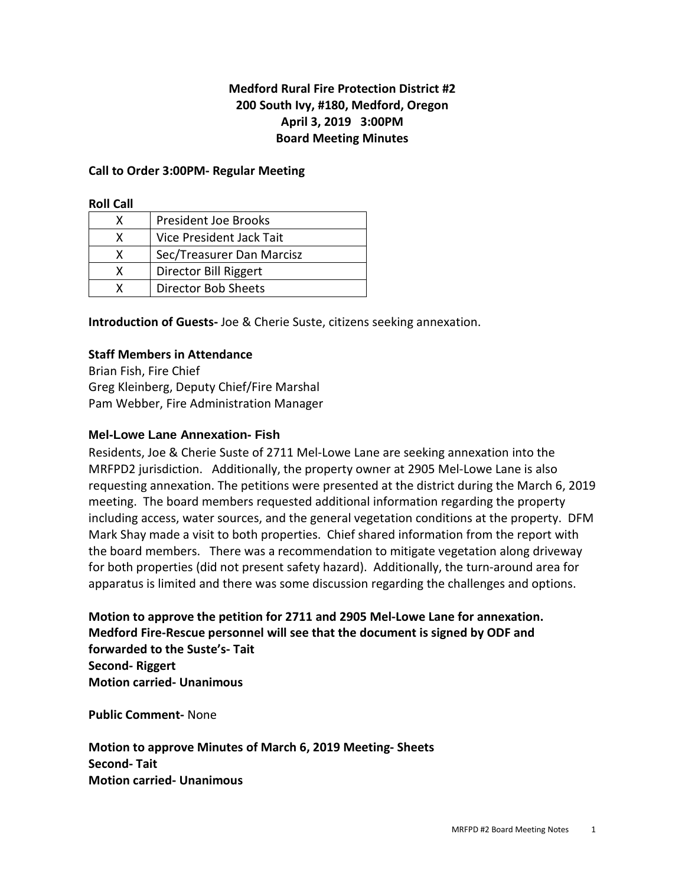# **Medford Rural Fire Protection District #2 200 South Ivy, #180, Medford, Oregon April 3, 2019 3:00PM Board Meeting Minutes**

## **Call to Order 3:00PM- Regular Meeting**

**Roll Call** 

| x | <b>President Joe Brooks</b> |
|---|-----------------------------|
| x | Vice President Jack Tait    |
| x | Sec/Treasurer Dan Marcisz   |
| x | Director Bill Riggert       |
|   | Director Bob Sheets         |

**Introduction of Guests-** Joe & Cherie Suste, citizens seeking annexation.

# **Staff Members in Attendance**

Brian Fish, Fire Chief Greg Kleinberg, Deputy Chief/Fire Marshal Pam Webber, Fire Administration Manager

### **Mel-Lowe Lane Annexation- Fish**

Residents, Joe & Cherie Suste of 2711 Mel-Lowe Lane are seeking annexation into the MRFPD2 jurisdiction. Additionally, the property owner at 2905 Mel-Lowe Lane is also requesting annexation. The petitions were presented at the district during the March 6, 2019 meeting. The board members requested additional information regarding the property including access, water sources, and the general vegetation conditions at the property. DFM Mark Shay made a visit to both properties. Chief shared information from the report with the board members. There was a recommendation to mitigate vegetation along driveway for both properties (did not present safety hazard). Additionally, the turn-around area for apparatus is limited and there was some discussion regarding the challenges and options.

**Motion to approve the petition for 2711 and 2905 Mel-Lowe Lane for annexation. Medford Fire-Rescue personnel will see that the document is signed by ODF and forwarded to the Suste's- Tait Second- Riggert Motion carried- Unanimous** 

**Public Comment-** None

**Motion to approve Minutes of March 6, 2019 Meeting- Sheets Second- Tait Motion carried- Unanimous**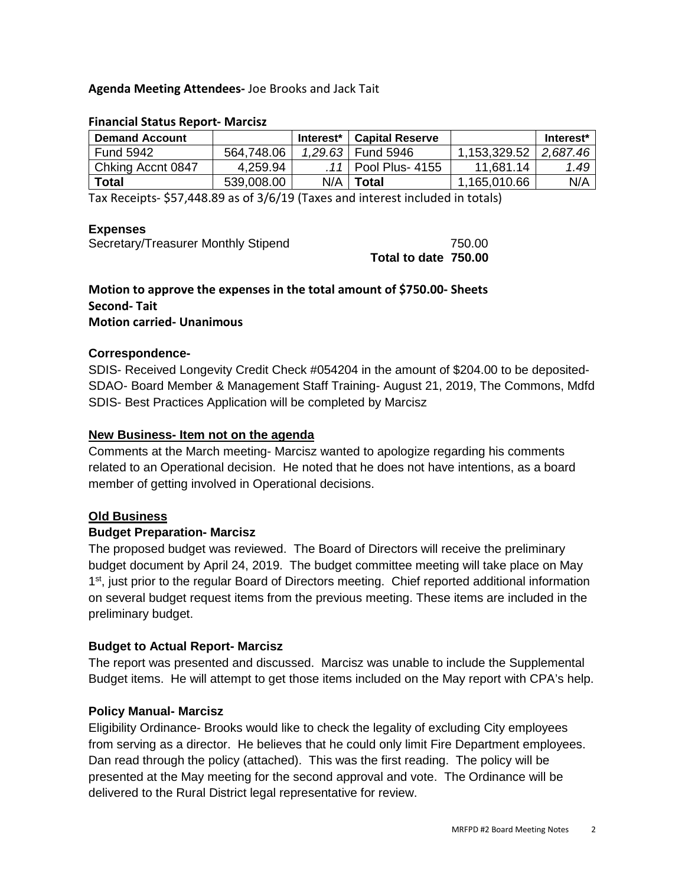# **Agenda Meeting Attendees-** Joe Brooks and Jack Tait

| <b>Demand Account</b> |            | Interest* | <b>Capital Reserve</b> |              | Interest* |
|-----------------------|------------|-----------|------------------------|--------------|-----------|
| <b>Fund 5942</b>      | 564,748.06 | 1.29.63   | <b>Fund 5946</b>       | 1,153,329.52 | 2.687.46  |
| Chking Accnt 0847     | 4,259.94   |           | Pool Plus- 4155        | 11.681.14    | 1.49      |
| Total                 | 539,008.00 | N/A       | Total                  | 1,165,010.66 | N/A       |

#### **Financial Status Report- Marcisz**

Tax Receipts- \$57,448.89 as of 3/6/19 (Taxes and interest included in totals)

#### **Expenses**

Secretary/Treasurer Monthly Stipend 750.00

 **Total to date 750.00** 

# **Motion to approve the expenses in the total amount of \$750.00- Sheets Second- Tait**

# **Motion carried- Unanimous**

### **Correspondence-**

SDIS- Received Longevity Credit Check #054204 in the amount of \$204.00 to be deposited-SDAO- Board Member & Management Staff Training- August 21, 2019, The Commons, Mdfd SDIS- Best Practices Application will be completed by Marcisz

### **New Business- Item not on the agenda**

Comments at the March meeting- Marcisz wanted to apologize regarding his comments related to an Operational decision. He noted that he does not have intentions, as a board member of getting involved in Operational decisions.

# **Old Business**

# **Budget Preparation- Marcisz**

The proposed budget was reviewed. The Board of Directors will receive the preliminary budget document by April 24, 2019. The budget committee meeting will take place on May 1<sup>st</sup>, just prior to the regular Board of Directors meeting. Chief reported additional information on several budget request items from the previous meeting. These items are included in the preliminary budget.

#### **Budget to Actual Report- Marcisz**

The report was presented and discussed. Marcisz was unable to include the Supplemental Budget items. He will attempt to get those items included on the May report with CPA's help.

# **Policy Manual- Marcisz**

Eligibility Ordinance- Brooks would like to check the legality of excluding City employees from serving as a director. He believes that he could only limit Fire Department employees. Dan read through the policy (attached). This was the first reading. The policy will be presented at the May meeting for the second approval and vote. The Ordinance will be delivered to the Rural District legal representative for review.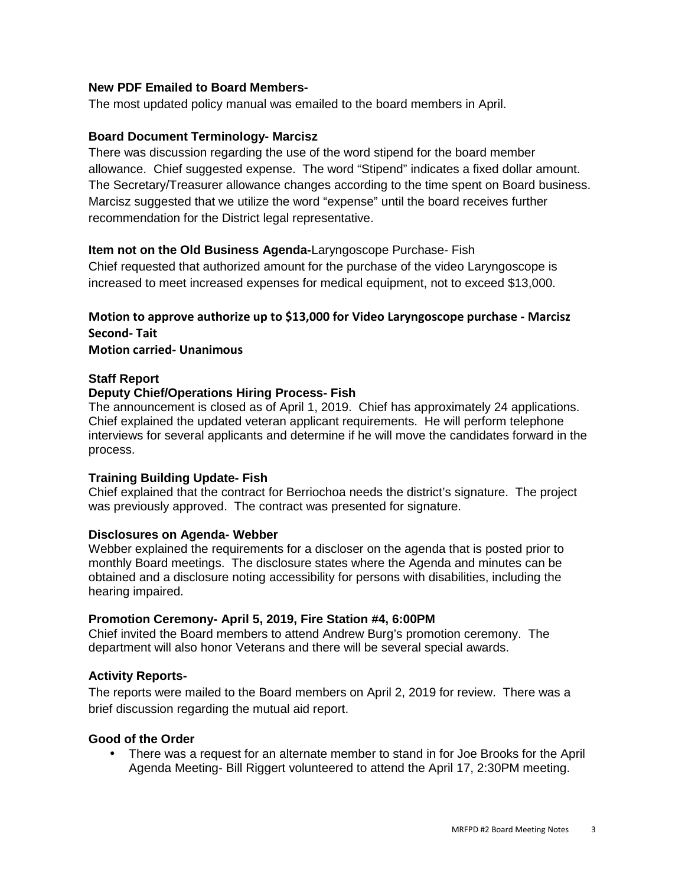# **New PDF Emailed to Board Members-**

The most updated policy manual was emailed to the board members in April.

## **Board Document Terminology- Marcisz**

There was discussion regarding the use of the word stipend for the board member allowance. Chief suggested expense. The word "Stipend" indicates a fixed dollar amount. The Secretary/Treasurer allowance changes according to the time spent on Board business. Marcisz suggested that we utilize the word "expense" until the board receives further recommendation for the District legal representative.

### **Item not on the Old Business Agenda-**Laryngoscope Purchase- Fish

Chief requested that authorized amount for the purchase of the video Laryngoscope is increased to meet increased expenses for medical equipment, not to exceed \$13,000.

# **Motion to approve authorize up to \$13,000 for Video Laryngoscope purchase - Marcisz Second- Tait**

#### **Motion carried- Unanimous**

#### **Staff Report**

### **Deputy Chief/Operations Hiring Process- Fish**

The announcement is closed as of April 1, 2019. Chief has approximately 24 applications. Chief explained the updated veteran applicant requirements. He will perform telephone interviews for several applicants and determine if he will move the candidates forward in the process.

#### **Training Building Update- Fish**

Chief explained that the contract for Berriochoa needs the district's signature. The project was previously approved. The contract was presented for signature.

#### **Disclosures on Agenda- Webber**

Webber explained the requirements for a discloser on the agenda that is posted prior to monthly Board meetings. The disclosure states where the Agenda and minutes can be obtained and a disclosure noting accessibility for persons with disabilities, including the hearing impaired.

#### **Promotion Ceremony- April 5, 2019, Fire Station #4, 6:00PM**

Chief invited the Board members to attend Andrew Burg's promotion ceremony. The department will also honor Veterans and there will be several special awards.

# **Activity Reports-**

The reports were mailed to the Board members on April 2, 2019 for review. There was a brief discussion regarding the mutual aid report.

#### **Good of the Order**

• There was a request for an alternate member to stand in for Joe Brooks for the April Agenda Meeting- Bill Riggert volunteered to attend the April 17, 2:30PM meeting.